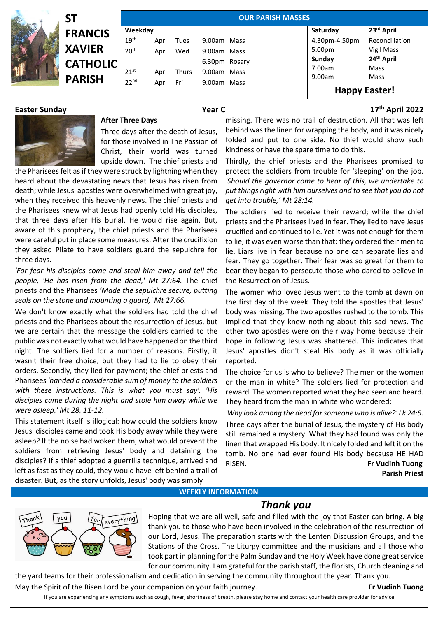

| SΤ              | <b>OUR PARISH MASSES</b> |     |              |               |  |  |                  |                                |  |
|-----------------|--------------------------|-----|--------------|---------------|--|--|------------------|--------------------------------|--|
| <b>FRANCIS</b>  | Weekday                  |     |              |               |  |  | Saturday         | 23rd April                     |  |
|                 | 19 <sup>th</sup>         | Apr | Tues         | 9.00am Mass   |  |  | 4.30pm-4.50pm    | Reconciliation                 |  |
| <b>XAVIER</b>   | 20 <sup>th</sup>         | Apr | Wed          | 9.00am Mass   |  |  | 5.00pm           | Vigil Mass                     |  |
| <b>CATHOLIC</b> |                          |     |              | 6.30pm Rosary |  |  | Sunday<br>7.00am | 24 <sup>th</sup> April<br>Mass |  |
| <b>PARISH</b>   | 21 <sup>st</sup>         | Apr | <b>Thurs</b> | 9.00am Mass   |  |  | 9.00am           | Mass                           |  |
|                 | 22 <sup>nd</sup>         | Apr | Fri          | 9.00am Mass   |  |  |                  | <b>Happy Easter!</b>           |  |

## **Easter Sunday Year C 17th April 2022**



## **After Three Days**

Three days after the death of Jesus, for those involved in The Passion of Christ, their world was turned upside down. The chief priests and

the Pharisees felt as if they were struck by lightning when they heard about the devastating news that Jesus has risen from death; while Jesus' apostles were overwhelmed with great joy, when they received this heavenly news. The chief priests and the Pharisees knew what Jesus had openly told His disciples, that three days after His burial, He would rise again. But, aware of this prophecy, the chief priests and the Pharisees were careful put in place some measures. After the crucifixion they asked Pilate to have soldiers guard the sepulchre for three days.

*'For fear his disciples come and steal him away and tell the people, 'He has risen from the dead,' Mt 27:64.* The chief priests and the Pharisees *'Made the sepulchre secure, putting seals on the stone and mounting a guard,' Mt 27:66.*

We don't know exactly what the soldiers had told the chief priests and the Pharisees about the resurrection of Jesus, but we are certain that the message the soldiers carried to the public was not exactly what would have happened on the third night. The soldiers lied for a number of reasons. Firstly, it wasn't their free choice, but they had to lie to obey their orders. Secondly, they lied for payment; the chief priests and Pharisees *'handed a considerable sum of money to the soldiers with these instructions. This is what you must say'. 'His disciples came during the night and stole him away while we were asleep,' Mt 28, 11-12.*

This statement itself is illogical: how could the soldiers know Jesus' disciples came and took His body away while they were asleep? If the noise had woken them, what would prevent the soldiers from retrieving Jesus' body and detaining the disciples? If a thief adopted a guerrilla technique, arrived and left as fast as they could, they would have left behind a trail of disaster. But, as the story unfolds, Jesus' body was simply

missing. There was no trail of destruction. All that was left behind was the linen for wrapping the body, and it was nicely folded and put to one side. No thief would show such kindness or have the spare time to do this.

Thirdly, the chief priests and the Pharisees promised to protect the soldiers from trouble for 'sleeping' on the job. *'Should the governor come to hear of this, we undertake to put things right with him ourselves and to see that you do not get into trouble,' Mt 28:14.*

The soldiers lied to receive their reward; while the chief priests and the Pharisees lived in fear. They lied to have Jesus crucified and continued to lie. Yet it was not enough for them to lie, it was even worse than that: they ordered their men to lie. Liars live in fear because no one can separate lies and fear. They go together. Their fear was so great for them to bear they began to persecute those who dared to believe in the Resurrection of Jesus.

The women who loved Jesus went to the tomb at dawn on the first day of the week. They told the apostles that Jesus' body was missing. The two apostles rushed to the tomb. This implied that they knew nothing about this sad news. The other two apostles were on their way home because their hope in following Jesus was shattered. This indicates that Jesus' apostles didn't steal His body as it was officially reported.

The choice for us is who to believe? The men or the women or the man in white? The soldiers lied for protection and reward. The women reported what they had seen and heard. They heard from the man in white who wondered:

*'Why look among the dead for someone who is alive?' Lk 24:5.*  Three days after the burial of Jesus, the mystery of His body still remained a mystery. What they had found was only the linen that wrapped His body. It nicely folded and left it on the tomb. No one had ever found His body because HE HAD RISEN. **Fr Vudinh Tuong Parish Priest**

**WEEKLY INFORMATION**

## *Thank you*



Hoping that we are all well, safe and filled with the joy that Easter can bring. A big thank you to those who have been involved in the celebration of the resurrection of our Lord, Jesus. The preparation starts with the Lenten Discussion Groups, and the Stations of the Cross. The Liturgy committee and the musicians and all those who took part in planning for the Palm Sunday and the Holy Week have done great service for our community. I am grateful for the parish staff, the florists, Church cleaning and

the yard teams for their professionalism and dedication in serving the community throughout the year. Thank you. May the Spirit of the Risen Lord be your companion on your faith journey. **Frame Sharehout 1.1 Fr** Vudinh Tuong

If you are experiencing any symptoms such as cough, fever, shortness of breath, please stay home and contact your health care provider for advice